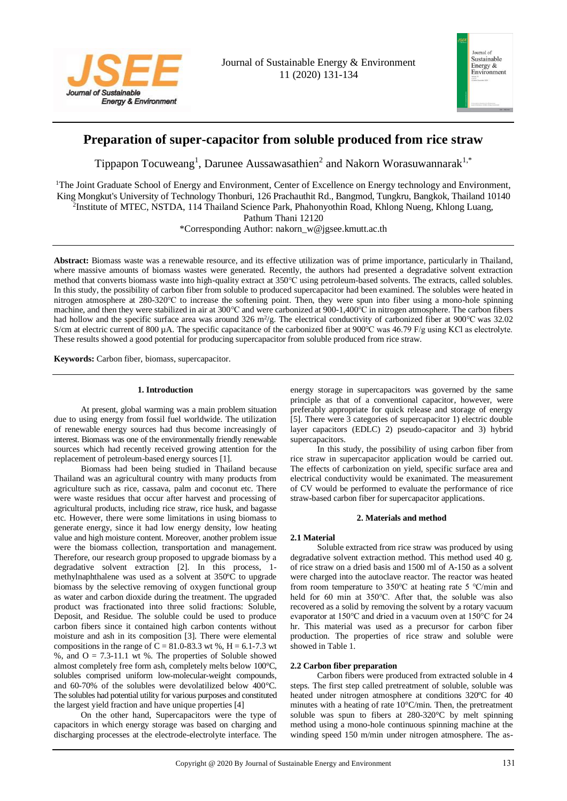



# **Preparation of super-capacitor from soluble produced from rice straw**

Tippapon Tocuweang<sup>1</sup>, Darunee Aussawasathien<sup>2</sup> and Nakorn Worasuwannarak<sup>1,\*</sup>

<sup>1</sup>The Joint Graduate School of Energy and Environment, Center of Excellence on Energy technology and Environment, King Mongkut's University of Technology Thonburi, 126 Prachauthit Rd., Bangmod, Tungkru, Bangkok, Thailand 10140 <sup>2</sup>Institute of MTEC, NSTDA, 114 Thailand Science Park, Phahonyothin Road, Khlong Nueng, Khlong Luang,

Pathum Thani 12120

\*Corresponding Author: [nakorn\\_w@jgsee.kmutt.ac.th](mailto:nakorn_w@jgsee.kmutt.ac.th)

**Abstract:** Biomass waste was a renewable resource, and its effective utilization was of prime importance, particularly in Thailand, where massive amounts of biomass wastes were generated. Recently, the authors had presented a degradative solvent extraction method that converts biomass waste into high-quality extract at 350℃ using petroleum-based solvents. The extracts, called solubles. In this study, the possibility of carbon fiber from soluble to produced supercapacitor had been examined. The solubles were heated in nitrogen atmosphere at 280-320℃ to increase the softening point. Then, they were spun into fiber using a mono-hole spinning machine, and then they were stabilized in air at 300℃ and were carbonized at 900-1,400℃ in nitrogen atmosphere. The carbon fibers had hollow and the specific surface area was around 326 m<sup>2</sup>/g. The electrical conductivity of carbonized fiber at 900°C was 32.02 S/cm at electric current of 800  $\mu$ A. The specific capacitance of the carbonized fiber at 900°C was 46.79 F/g using KCl as electrolyte. These results showed a good potential for producing supercapacitor from soluble produced from rice straw.

**Keywords:** Carbon fiber, biomass, supercapacitor.

## **1. Introduction**

At present, global warming was a main problem situation due to using energy from fossil fuel worldwide. The utilization of renewable energy sources had thus become increasingly of interest. Biomass was one of the environmentally friendly renewable sources which had recently received growing attention for the replacement of petroleum-based energy sources [1].

Biomass had been being studied in Thailand because Thailand was an agricultural country with many products from agriculture such as rice, cassava, palm and coconut etc. There were waste residues that occur after harvest and processing of agricultural products, including rice straw, rice husk, and bagasse etc. However, there were some limitations in using biomass to generate energy, since it had low energy density, low heating value and high moisture content. Moreover, another problem issue were the biomass collection, transportation and management. Therefore, our research group proposed to upgrade biomass by a degradative solvent extraction [2]. In this process, 1 methylnaphthalene was used as a solvent at 350ºC to upgrade biomass by the selective removing of oxygen functional group as water and carbon dioxide during the treatment. The upgraded product was fractionated into three solid fractions: Soluble, Deposit, and Residue. The soluble could be used to produce carbon fibers since it contained high carbon contents without moisture and ash in its composition [3]. There were elemental compositions in the range of  $\bar{C} = 81.0-83.3$  wt %, H = 6.1-7.3 wt %, and  $O = 7.3-11.1$  wt %. The properties of Soluble showed almost completely free form ash, completely melts below 100°C, solubles comprised uniform low-molecular-weight compounds, and 60-70% of the solubles were devolatilized below 400°C. The solubles had potential utility for various purposes and constituted the largest yield fraction and have unique properties [4]

On the other hand, Supercapacitors were the type of capacitors in which energy storage was based on charging and discharging processes at the electrode-electrolyte interface. The

energy storage in supercapacitors was governed by the same principle as that of a conventional capacitor, however, were preferably appropriate for quick release and storage of energy [5]. There were 3 categories of supercapacitor 1) electric double layer capacitors (EDLC) 2) pseudo-capacitor and 3) hybrid supercapacitors.

In this study, the possibility of using carbon fiber from rice straw in supercapacitor application would be carried out. The effects of carbonization on yield, specific surface area and electrical conductivity would be exanimated. The measurement of CV would be performed to evaluate the performance of rice straw-based carbon fiber for supercapacitor applications.

# **2. Materials and method**

# **2.1 Material**

Soluble extracted from rice straw was produced by using degradative solvent extraction method. This method used 40 g. of rice straw on a dried basis and 1500 ml of A-150 as a solvent were charged into the autoclave reactor. The reactor was heated from room temperature to 350℃ at heating rate 5 ℃/min and held for 60 min at 350℃. After that, the soluble was also recovered as a solid by removing the solvent by a rotary vacuum evaporator at 150℃ and dried in a vacuum oven at 150°C for 24 hr. This material was used as a precursor for carbon fiber production. The properties of rice straw and soluble were showed in Table 1.

# **2.2 Carbon fiber preparation**

Carbon fibers were produced from extracted soluble in 4 steps. The first step called pretreatment of soluble, soluble was heated under nitrogen atmosphere at conditions 320ºC for 40 minutes with a heating of rate 10°C/min. Then, the pretreatment soluble was spun to fibers at 280-320°C by melt spinning method using a mono-hole continuous spinning machine at the winding speed 150 m/min under nitrogen atmosphere. The as-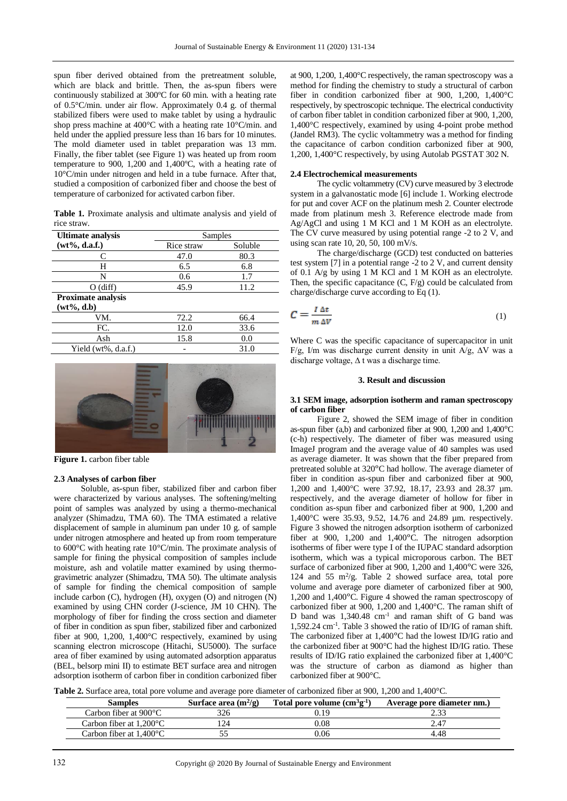spun fiber derived obtained from the pretreatment soluble, which are black and brittle. Then, the as-spun fibers were continuously stabilized at 300ºC for 60 min. with a heating rate of 0.5°C/min. under air flow. Approximately 0.4 g. of thermal stabilized fibers were used to make tablet by using a hydraulic shop press machine at 400°C with a heating rate 10°C/min. and held under the applied pressure less than 16 bars for 10 minutes. The mold diameter used in tablet preparation was 13 mm. Finally, the fiber tablet (see Figure 1) was heated up from room temperature to 900, 1,200 and 1,400ºC, with a heating rate of 10°C/min under nitrogen and held in a tube furnace. After that, studied a composition of carbonized fiber and choose the best of temperature of carbonized for activated carbon fiber.

**Table 1.** Proximate analysis and ultimate analysis and yield of rice straw.

| <b>Ultimate analysis</b>  | Samples    |         |
|---------------------------|------------|---------|
| $(wt\%, d.a.f.)$          | Rice straw | Soluble |
| C                         | 47.0       | 80.3    |
| Н                         | 6.5        | 6.8     |
| N                         | 0.6        | 1.7     |
| $O$ (diff)                | 45.9       | 11.2    |
| <b>Proximate analysis</b> |            |         |
| $(wt\%, d.b)$             |            |         |
| VM.                       | 72.2       | 66.4    |
| FC.                       | 12.0       | 33.6    |
| Ash                       | 15.8       | 0.0     |
| Yield (wt%, d.a.f.)       |            | 31.0    |



**Figure 1.** carbon fiber table

#### **2.3 Analyses of carbon fiber**

Soluble, as-spun fiber, stabilized fiber and carbon fiber were characterized by various analyses. The softening/melting point of samples was analyzed by using a thermo-mechanical analyzer (Shimadzu, TMA 60). The TMA estimated a relative displacement of sample in aluminum pan under 10 g. of sample under nitrogen atmosphere and heated up from room temperature to 600°C with heating rate 10°C/min. The proximate analysis of sample for fining the physical composition of samples include moisture, ash and volatile matter examined by using thermogravimetric analyzer (Shimadzu, TMA 50). The ultimate analysis of sample for finding the chemical composition of sample include carbon (C), hydrogen (H), oxygen (O) and nitrogen (N) examined by using CHN corder (J-science, JM 10 CHN). The morphology of fiber for finding the cross section and diameter of fiber in condition as spun fiber, stabilized fiber and carbonized fiber at 900, 1,200, 1,400°C respectively, examined by using scanning electron microscope (Hitachi, SU5000). The surface area of fiber examined by using automated adsorption apparatus (BEL, belsorp mini II) to estimate BET surface area and nitrogen adsorption isotherm of carbon fiber in condition carbonized fiber

at 900, 1,200, 1,400°C respectively, the raman spectroscopy was a method for finding the chemistry to study a structural of carbon fiber in condition carbonized fiber at 900, 1,200, 1,400°C respectively, by spectroscopic technique. The electrical conductivity of carbon fiber tablet in condition carbonized fiber at 900, 1,200, 1,400°C respectively, examined by using 4-point probe method (Jandel RM3). The cyclic voltammetry was a method for finding the capacitance of carbon condition carbonized fiber at 900, 1,200, 1,400°C respectively, by using Autolab PGSTAT 302 N.

## **2.4 Electrochemical measurements**

The cyclic voltammetry (CV) curve measured by 3 electrode system in a galvanostatic mode [6] include 1. Working electrode for put and cover ACF on the platinum mesh 2. Counter electrode made from platinum mesh 3. Reference electrode made from Ag/AgCl and using 1 M KCl and 1 M KOH as an electrolyte. The CV curve measured by using potential range -2 to 2 V, and using scan rate 10, 20, 50, 100 mV/s.

The charge/discharge (GCD) test conducted on batteries test system [7] in a potential range -2 to 2 V, and current density of 0.1 A/g by using 1 M KCl and 1 M KOH as an electrolyte. Then, the specific capacitance  $(C, F/g)$  could be calculated from charge/discharge curve according to Eq (1).

$$
C = \frac{I \Delta t}{m \Delta V} \tag{1}
$$

Where C was the specific capacitance of supercapacitor in unit F/g, I/m was discharge current density in unit A/g, ∆V was a discharge voltage, ∆ t was a discharge time.

#### **3. Result and discussion**

## **3.1 SEM image, adsorption isotherm and raman spectroscopy of carbon fiber**

Figure 2, showed the SEM image of fiber in condition as-spun fiber (a,b) and carbonized fiber at 900, 1,200 and 1,400°C (c-h) respectively. The diameter of fiber was measured using ImageJ program and the average value of 40 samples was used as average diameter. It was shown that the fiber prepared from pretreated soluble at 320°C had hollow. The average diameter of fiber in condition as-spun fiber and carbonized fiber at 900, 1,200 and 1,400°C were 37.92, 18.17, 23.93 and 28.37 µm. respectively, and the average diameter of hollow for fiber in condition as-spun fiber and carbonized fiber at 900, 1,200 and 1,400°C were 35.93, 9.52, 14.76 and 24.89 µm. respectively. Figure 3 showed the nitrogen adsorption isotherm of carbonized fiber at 900, 1,200 and 1,400°C. The nitrogen adsorption isotherms of fiber were type I of the IUPAC standard adsorption isotherm, which was a typical microporous carbon. The BET surface of carbonized fiber at 900, 1,200 and 1,400°C were 326, 124 and 55  $m^2/g$ . Table 2 showed surface area, total pore volume and average pore diameter of carbonized fiber at 900, 1,200 and 1,400°C. Figure 4 showed the raman spectroscopy of carbonized fiber at 900, 1,200 and 1,400°C. The raman shift of D band was 1,340.48 cm<sup>-1</sup> and raman shift of G band was 1,592.24 cm-1 . Table 3 showed the ratio of ID/IG of raman shift. The carbonized fiber at 1,400°C had the lowest ID/IG ratio and the carbonized fiber at 900°C had the highest ID/IG ratio. These results of ID/IG ratio explained the carbonized fiber at 1,400°C was the structure of carbon as diamond as higher than carbonized fiber at 900°C.

**Table 2.** Surface area, total pore volume and average pore diameter of carbonized fiber at 900, 1,200 and 1,400°C.

| Samples                                   | Surface area $(m^2/g)$ | Total pore volume $(cm^3g^1)$ | Average pore diameter nm.) |
|-------------------------------------------|------------------------|-------------------------------|----------------------------|
| Carbon fiber at $900^{\circ}$ C           |                        | $.1^{\circ}$                  |                            |
| Carbon fiber at $1.200^{\circ}$ C         |                        | ).08                          | 4.47                       |
| Carbon fiber at $1.400^{\circ}\mathrm{C}$ |                        | 06.ر                          | 4.48                       |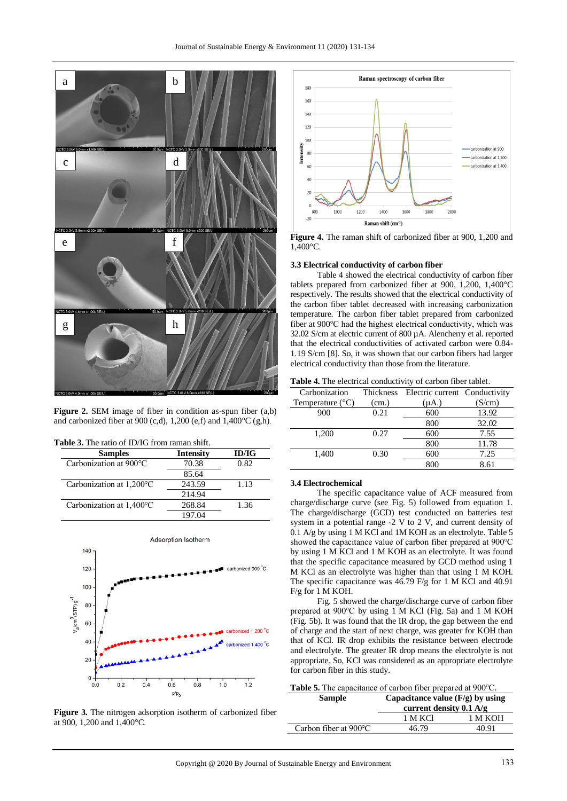

**Figure 2.** SEM image of fiber in condition as-spun fiber (a,b) and carbonized fiber at 900 (c,d), 1,200 (e,f) and 1,400°C (g,h).

| <b>Samples</b>           | <b>Intensity</b> | ID/IG |
|--------------------------|------------------|-------|
| Carbonization at 900°C   | 70.38            | 0.82  |
|                          | 85.64            |       |
| Carbonization at 1,200°C | 243.59           | 1.13  |
|                          | 214.94           |       |
| Carbonization at 1,400°C | 268.84           | 1.36  |
|                          | 197.04           |       |



**Figure 3.** The nitrogen adsorption isotherm of carbonized fiber at 900, 1,200 and 1,400°C.



**Figure 4.** The raman shift of carbonized fiber at 900, 1,200 and 1,400°C.

## **3.3 Electrical conductivity of carbon fiber**

Table 4 showed the electrical conductivity of carbon fiber tablets prepared from carbonized fiber at 900, 1,200, 1,400°C respectively. The results showed that the electrical conductivity of the carbon fiber tablet decreased with increasing carbonization temperature. The carbon fiber tablet prepared from carbonized fiber at 900℃ had the highest electrical conductivity, which was 32.02 S/cm at electric current of 800 µA. Alencherry et al. reported that the electrical conductivities of activated carbon were 0.84- 1.19 S/cm [8]. So, it was shown that our carbon fibers had larger electrical conductivity than those from the literature.

**Table 4.** The electrical conductivity of carbon fiber tablet.

| Carbonization             | Thickness | Electric current Conductivity |        |
|---------------------------|-----------|-------------------------------|--------|
| Temperature $(^{\circ}C)$ | (cm.)     | (µA.)                         | (S/cm) |
| 900                       | 0.21      | 600                           | 13.92  |
|                           |           | 800                           | 32.02  |
| 1,200                     | 0.27      | 600                           | 7.55   |
|                           |           | 800                           | 11.78  |
| 1,400                     | 0.30      | 600                           | 7.25   |
|                           |           | 800                           | 8.61   |

## **3.4 Electrochemical**

The specific capacitance value of ACF measured from charge/discharge curve (see Fig. 5) followed from equation 1. The charge/discharge (GCD) test conducted on batteries test system in a potential range -2 V to 2 V, and current density of 0.1 A/g by using 1 M KCl and 1M KOH as an electrolyte. Table 5 showed the capacitance value of carbon fiber prepared at 900℃ by using 1 M KCl and 1 M KOH as an electrolyte. It was found that the specific capacitance measured by GCD method using 1 M KCl as an electrolyte was higher than that using 1 M KOH. The specific capacitance was 46.79 F/g for 1 M KCl and 40.91 F/g for 1 M KOH.

Fig. 5 showed the charge/discharge curve of carbon fiber prepared at 900℃ by using 1 M KCl (Fig. 5a) and 1 M KOH (Fig. 5b). It was found that the IR drop, the gap between the end of charge and the start of next charge, was greater for KOH than that of KCl. IR drop exhibits the resistance between electrode and electrolyte. The greater IR drop means the electrolyte is not appropriate. So, KCl was considered as an appropriate electrolyte for carbon fiber in this study.

| <b>Table 5.</b> The capacitance of carbon fiber prepared at 900 °C. |  |
|---------------------------------------------------------------------|--|
|---------------------------------------------------------------------|--|

| Capacitance value $(F/g)$ by using<br>current density $0.1 \text{ A/g}$ |         |
|-------------------------------------------------------------------------|---------|
| 1 M KCl                                                                 | 1 M KOH |
| 46.79                                                                   | 40.91   |
|                                                                         |         |